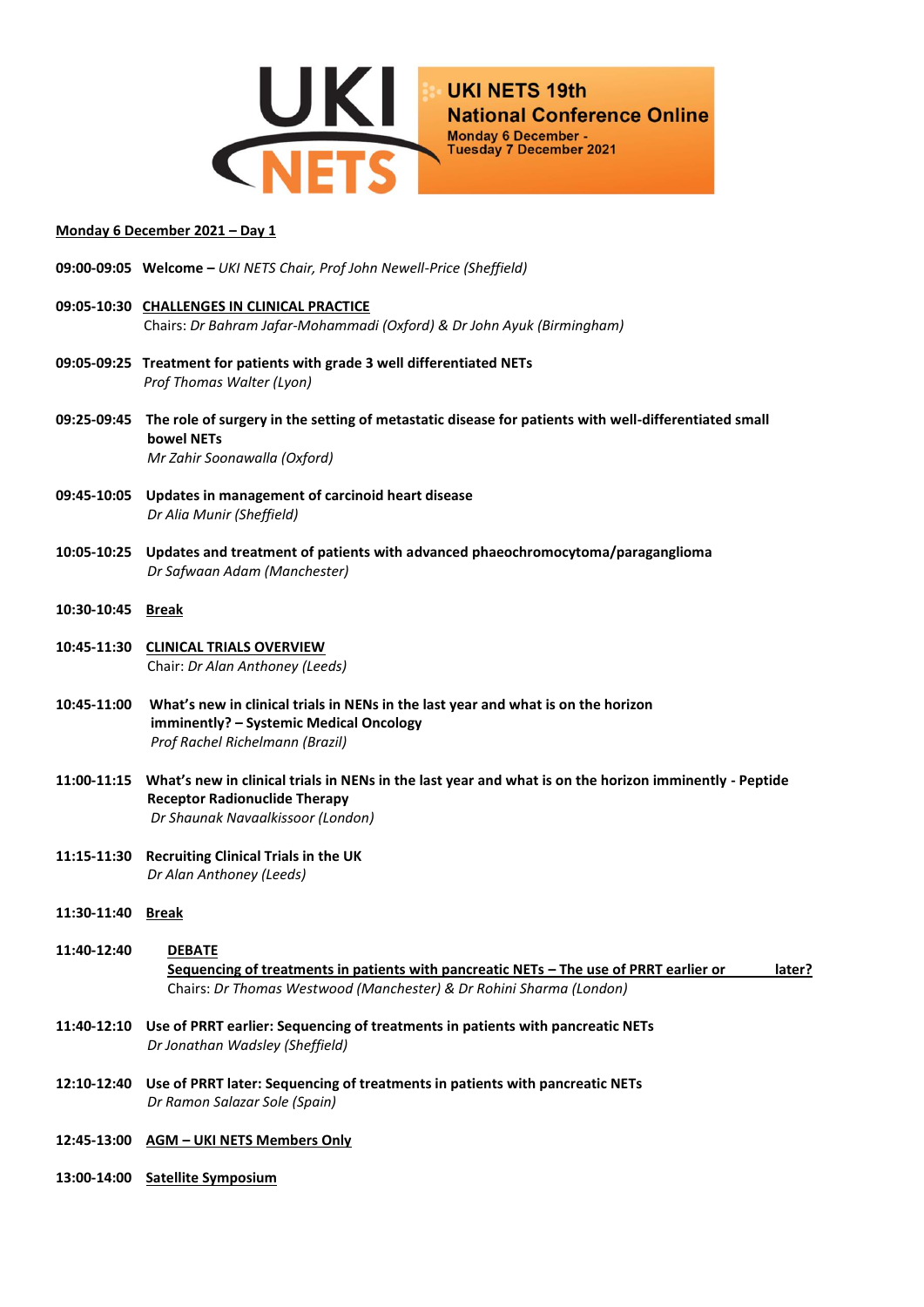

## **Monday 6 December 2021 – Day 1**

- **09:00-09:05 Welcome –** *UKI NETS Chair, Prof John Newell-Price (Sheffield)*
- **09:05-10:30 CHALLENGES IN CLINICAL PRACTICE** Chairs: *Dr Bahram Jafar-Mohammadi (Oxford) & Dr John Ayuk (Birmingham)*
- **09:05-09:25 Treatment for patients with grade 3 well differentiated NETs** *Prof Thomas Walter (Lyon)*
- **09:25-09:45 The role of surgery in the setting of metastatic disease for patients with well-differentiated small bowel NETs**  *Mr Zahir Soonawalla (Oxford)*
- **09:45-10:05 Updates in management of carcinoid heart disease** *Dr Alia Munir (Sheffield)*
- **10:05-10:25 Updates and treatment of patients with advanced phaeochromocytoma/paraganglioma**  *Dr Safwaan Adam (Manchester)*
- **10:30-10:45 Break**
- **10:45-11:30 CLINICAL TRIALS OVERVIEW** Chair: *Dr Alan Anthoney (Leeds)*
- **10:45-11:00 What's new in clinical trials in NENs in the last year and what is on the horizon imminently? – Systemic Medical Oncology** *Prof Rachel Richelmann (Brazil)*
- **11:00-11:15 What's new in clinical trials in NENs in the last year and what is on the horizon imminently - Peptide Receptor Radionuclide Therapy**  *Dr Shaunak Navaalkissoor (London)*
- **11:15-11:30 Recruiting Clinical Trials in the UK** *Dr Alan Anthoney (Leeds)*
- **11:30-11:40 Break**
- **11:40-12:40 DEBATE Sequencing of treatments in patients with pancreatic NETs – The use of PRRT earlier or later?** Chairs: *Dr Thomas Westwood (Manchester) & Dr Rohini Sharma (London)*
- **11:40-12:10 Use of PRRT earlier: Sequencing of treatments in patients with pancreatic NETs**  *Dr Jonathan Wadsley (Sheffield)*
- **12:10-12:40 Use of PRRT later: Sequencing of treatments in patients with pancreatic NETs** *Dr Ramon Salazar Sole (Spain)*
- **12:45-13:00 AGM – UKI NETS Members Only**
- **13:00-14:00 Satellite Symposium**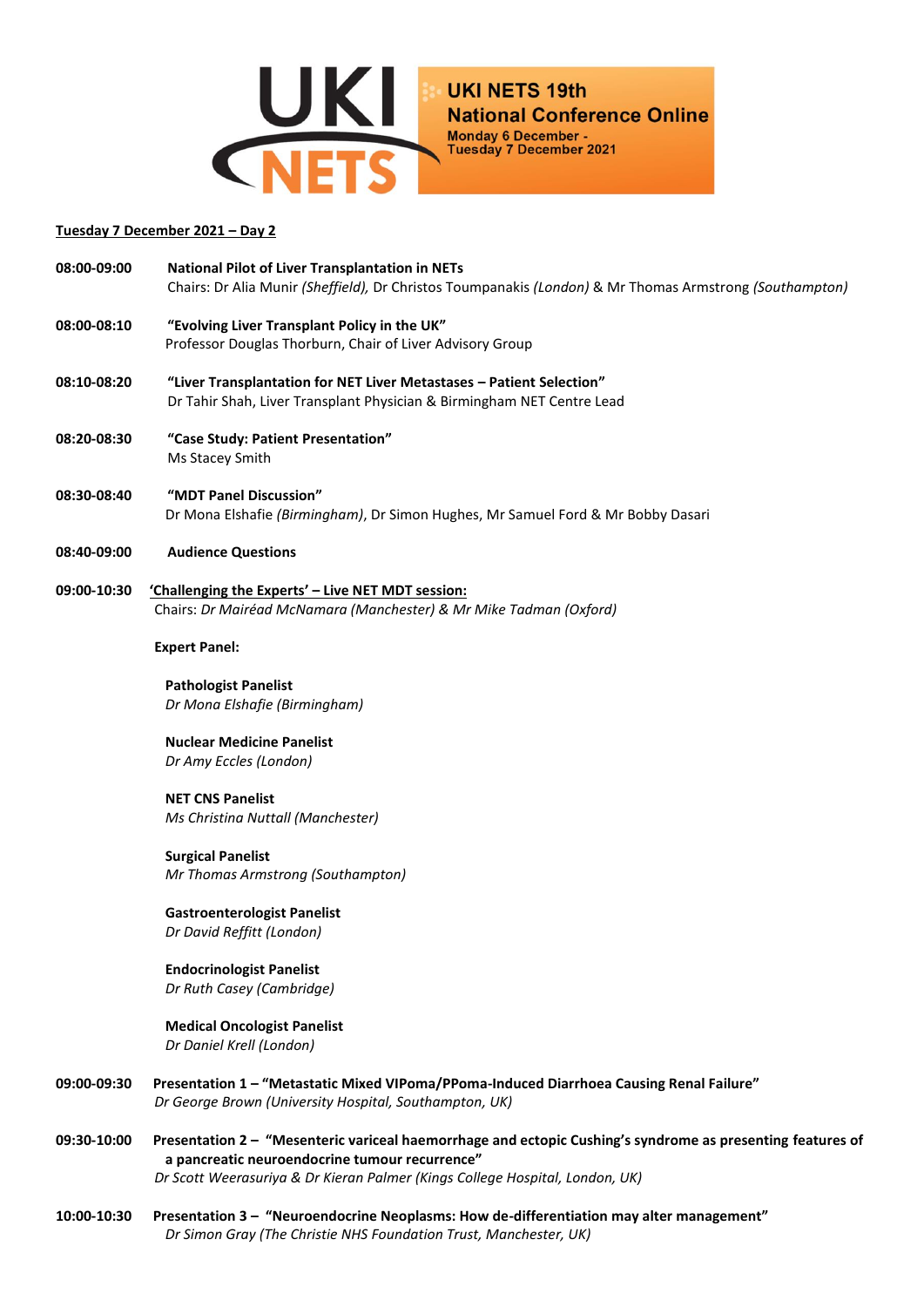

## **Tuesday 7 December 2021 – Day 2**

| 08:00-09:00 | <b>National Pilot of Liver Transplantation in NETs</b>                                                     |
|-------------|------------------------------------------------------------------------------------------------------------|
|             | Chairs: Dr Alia Munir (Sheffield), Dr Christos Toumpanakis (London) & Mr Thomas Armstrong (Southampton)    |
| 08:00-08:10 | "Evolving Liver Transplant Policy in the UK"                                                               |
|             | Professor Douglas Thorburn, Chair of Liver Advisory Group                                                  |
| 08:10-08:20 | "Liver Transplantation for NET Liver Metastases - Patient Selection"                                       |
|             | Dr Tahir Shah, Liver Transplant Physician & Birmingham NET Centre Lead                                     |
| 08:20-08:30 | "Case Study: Patient Presentation"                                                                         |
|             | Ms Stacey Smith                                                                                            |
| 08:30-08:40 | "MDT Panel Discussion"                                                                                     |
|             | Dr Mona Elshafie (Birmingham), Dr Simon Hughes, Mr Samuel Ford & Mr Bobby Dasari                           |
| 08:40-09:00 | <b>Audience Questions</b>                                                                                  |
| 09:00-10:30 | 'Challenging the Experts' - Live NET MDT session:                                                          |
|             | Chairs: Dr Mairéad McNamara (Manchester) & Mr Mike Tadman (Oxford)                                         |
|             | <b>Expert Panel:</b>                                                                                       |
|             | <b>Pathologist Panelist</b>                                                                                |
|             | Dr Mona Elshafie (Birmingham)                                                                              |
|             | <b>Nuclear Medicine Panelist</b>                                                                           |
|             | Dr Amy Eccles (London)                                                                                     |
|             | <b>NET CNS Panelist</b>                                                                                    |
|             | Ms Christina Nuttall (Manchester)                                                                          |
|             | <b>Surgical Panelist</b>                                                                                   |
|             | Mr Thomas Armstrong (Southampton)                                                                          |
|             | <b>Gastroenterologist Panelist</b>                                                                         |
|             | Dr David Reffitt (London)                                                                                  |
|             | <b>Endocrinologist Panelist</b>                                                                            |
|             | Dr Ruth Casey (Cambridge)                                                                                  |
|             | <b>Medical Oncologist Panelist</b>                                                                         |
|             | Dr Daniel Krell (London)                                                                                   |
| 09:00-09:30 | Presentation 1 - "Metastatic Mixed VIPoma/PPoma-Induced Diarrhoea Causing Renal Failure"                   |
|             | Dr George Brown (University Hospital, Southampton, UK)                                                     |
| 09:30-10:00 | Presentation 2 - "Mesenteric variceal haemorrhage and ectopic Cushing's syndrome as presenting features of |
|             | a pancreatic neuroendocrine tumour recurrence"                                                             |
|             | Dr Scott Weerasuriya & Dr Kieran Palmer (Kings College Hospital, London, UK)                               |
| 10:00-10:30 | Presentation 3 - "Neuroendocrine Neoplasms: How de-differentiation may alter management"                   |
|             | Dr Simon Gray (The Christie NHS Foundation Trust, Manchester, UK)                                          |